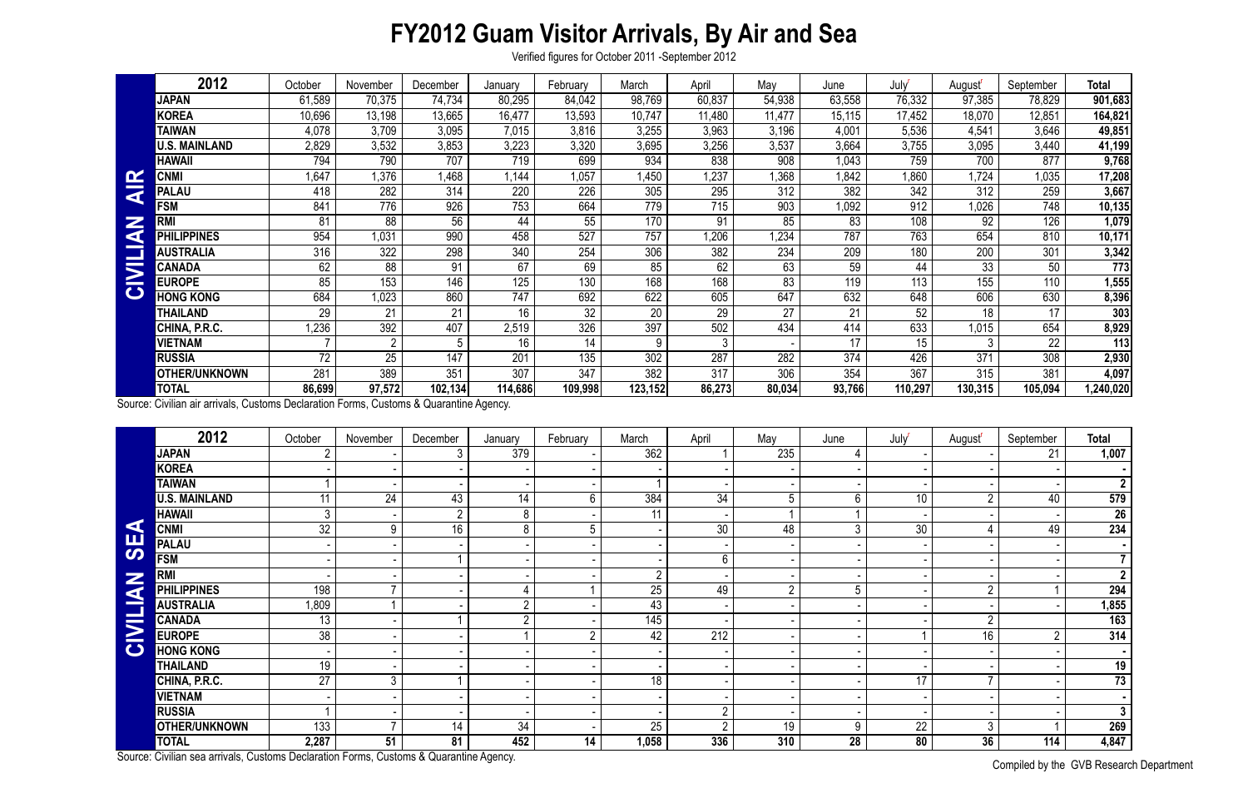## **FY2012 Guam Visitor Arrivals, By Air and Sea**

Verified figures for October 2011 -September 2012

Compiled by the GVB Research Department

|               | 2012                 | October | November       | December | January | February         | March   | April  | May    | June   | July    | August <sup>'</sup> | September | <b>Total</b> |
|---------------|----------------------|---------|----------------|----------|---------|------------------|---------|--------|--------|--------|---------|---------------------|-----------|--------------|
|               | <b>JAPAN</b>         | 61,589  | 70,375         | 74,734   | 80,295  | 84,042           | 98,769  | 60,837 | 54,938 | 63,558 | 76,332  | 97,385              | 78,829    | 901,683      |
|               | <b>KOREA</b>         | 10,696  | 13,198         | 13,665   | 16,477  | 13,593           | 10,747  | 11,480 | 11,477 | 15,115 | 17,452  | 18,070              | 12,851    | 164,821      |
|               | <b>TAIWAN</b>        | 4,078   | 3,709          | 3,095    | 7,015   | 3,816            | 3,255   | 3,963  | 3,196  | 4,001  | 5,536   | 4,541               | 3,646     | 49,851       |
|               | <b>U.S. MAINLAND</b> | 2,829   | 3,532          | 3,853    | 3,223   | 3,320            | 3,695   | 3,256  | 3,537  | 3,664  | 3,755   | 3,095               | 3,440     | 41,199       |
|               | <b>HAWAII</b>        | 794     | 790            | 707      | 719     | 699              | 934     | 838    | 908    | 1,043  | 759     | 700                 | 877       | 9,768        |
|               | <b>CNMI</b>          | ,647    | ,376           | ,468     | 1,144   | 1,057            | .450    | 1,237  | .368   | 1,842  | .860    | 1,724               | 1,035     | 17,208       |
| $\frac{R}{4}$ | <b>PALAU</b>         | 418     | 282            | 314      | 220     | 226              | 305     | 295    | 312    | 382    | 342     | 312                 | 259       | 3,667        |
|               | <b>FSM</b>           | 841     | 776            | 926      | 753     | 664              | 779     | 715    | 903    | 1,092  | 912     | 1,026               | 748       | 10, 135      |
| Z             | <b>RMI</b>           | 81      | 88             | 56       | 44      | 55               | 170     | 91     | 85     | 83     | 108     | 92                  | 126       | 1,079        |
| d             | <b>PHILIPPINES</b>   | 954     | 1,031          | 990      | 458     | 527              | 757     | 1,206  | 1,234  | 787    | 763     | 654                 | 810       | 10,171       |
|               | <b>AUSTRALIA</b>     | 316     | 322            | 298      | 340     | 254              | 306     | 382    | 234    | 209    | 180     | 200                 | 301       | 3,342        |
| CIVII         | <b>CANADA</b>        | 62      | 88             | 91       | 67      | 69               | 85      | 62     | 63     | 59     | 44      | 33                  | 50        | 773          |
|               | <b>EUROPE</b>        | 85      | 153            | 146      | 125     | 130              | 168     | 168    | 83     | 119    | 113     | 155                 | 110       | 1,555        |
|               | <b>HONG KONG</b>     | 684     | 1,023          | 860      | 747     | 692              | 622     | 605    | 647    | 632    | 648     | 606                 | 630       | 8,396        |
|               | THAILAND             | 29      | 21             | 21       | 16      | 32               | 20      | 29     | 27     | 21     | 52      | 18                  | 17        | 303          |
|               | CHINA, P.R.C.        | ,236    | 392            | 407      | 2,519   | 326              | 397     | 502    | 434    | 414    | 633     | 1,015               | 654       | 8,929        |
|               | <b>VIETNAM</b>       |         | $\overline{2}$ | 5        | 16      | 14               | 9       |        |        | 17     | 15      | $\mathbf{3}$        | 22        | 113          |
|               | <b>RUSSIA</b>        | 72      | 25             | 147      | 201     | $\overline{135}$ | 302     | 287    | 282    | 374    | 426     | 371                 | 308       | 2,930        |
|               | <b>OTHER/UNKNOWN</b> | 281     | 389            | 351      | 307     | 347              | 382     | 317    | 306    | 354    | 367     | 315                 | 381       | 4,097        |
|               | <b>TOTAL</b>         | 86,699  | 97,572         | 102,134  | 114,686 | 109,998          | 123,152 | 86,273 | 80,034 | 93,766 | 110,297 | 130,315             | 105,094   | ,240,020     |

| $\mathbf{\alpha}$    | <b>CNMI</b>                                                                            | 1,647           | 1,376           | 1,468            | 1,144            | 1,057           | 1,450            | ,237            | 1,368          | 1,842            | 1,860           | 1,724               | 1,035          | 17,208                 |
|----------------------|----------------------------------------------------------------------------------------|-----------------|-----------------|------------------|------------------|-----------------|------------------|-----------------|----------------|------------------|-----------------|---------------------|----------------|------------------------|
| ₹                    | <b>PALAU</b>                                                                           | 418             | 282             | 314              | 220              | 226             | 305              | 295             | 312            | 382              | 342             | 312                 | 259            | 3,667                  |
| Z                    | <b>FSM</b>                                                                             | 841             | 776             | 926              | 753              | 664             | 779              | 715             | 903            | 1,092            | 912             | 1,026               | 748            | 10,135                 |
|                      | <b>RMI</b>                                                                             | 81              | 88              | $\overline{56}$  | 44               | 55              | 170              | 91              | 85             | 83               | 108             | $\overline{92}$     | 126            | 1,079                  |
| $\blacktriangleleft$ | <b>PHILIPPINES</b>                                                                     | 954             | 1,031           | 990              | 458              | 527             | 757              | ,206            | ,234           | 787              | 763             | 654                 | 810            | 10,171                 |
| <b>CIVILI</b>        | <b>AUSTRALIA</b>                                                                       | 316             | 322             | 298              | 340              | 254             | 306              | 382             | 234            | 209              | 180             | 200                 | 301            | 3,342                  |
|                      | <b>CANADA</b>                                                                          | 62              | $\overline{88}$ | 91               | 67               | 69              | 85               | 62              | 63             | 59               | 44              | $\overline{33}$     | 50             | 773                    |
|                      | <b>EUROPE</b>                                                                          | 85              | 153             | 146              | 125              | 130             | 168              | 168             | 83             | 119              | 113             | 155                 | 110            | 1,555                  |
|                      | <b>HONG KONG</b>                                                                       | 684             | 1,023           | 860              | 747              | 692             | 622              | 605             | 647            | 632              | 648             | 606                 | 630            | 8,396                  |
|                      | <b>THAILAND</b>                                                                        | 29              | 21              | 21               | 16               | $\overline{32}$ | $\overline{20}$  | $\overline{29}$ | 27             | 21               | 52              | $\overline{18}$     | 17             | 303                    |
|                      | CHINA, P.R.C.                                                                          | ,236            | 392             | 407              | 2,519            | 326             | 397              | 502             | 434            | 414              | 633             | 1,015               | 654            | 8,929                  |
|                      | <b>VIETNAM</b>                                                                         |                 | $\overline{2}$  | $5\phantom{.0}$  | 16               | 14              | 9                | 3               |                | 17               | 15              | $\mathfrak{Z}$      | 22             | 113                    |
|                      | <b>RUSSIA</b>                                                                          | $\overline{72}$ | $\overline{25}$ | $\overline{147}$ | $\overline{201}$ | 135             | $\overline{302}$ | 287             | 282            | $\overline{374}$ | 426             | $\overline{371}$    | 308            | 2,930                  |
|                      | <b>OTHER/UNKNOWN</b>                                                                   | 281             | 389             | 351              | 307              | 347             | 382              | 317             | 306            | 354              | 367             | 315                 | 381            | 4,097                  |
|                      | <b>TOTAL</b>                                                                           | 86,699          | 97,572          | 102, 134         | 114,686          | 109,998         | 123,152          | 86,273          | 80,034         | 93,766           | 110,297         | 130,315             | 105,094        | 1,240,020              |
|                      | Source: Civilian air arrivals, Customs Declaration Forms, Customs & Quarantine Agency. |                 |                 |                  |                  |                 |                  |                 |                |                  |                 |                     |                |                        |
|                      | 2012                                                                                   | October         | November        | December         | January          | February        | March            | April           | May            | June             | July            | August <sup>r</sup> | September      | Total                  |
|                      | <b>JAPAN</b>                                                                           | 2               |                 | 3                | 379              |                 | 362              |                 | 235            | 4                |                 |                     | 21             | 1,007                  |
|                      | <b>KOREA</b>                                                                           |                 |                 |                  |                  |                 |                  |                 |                |                  |                 |                     |                |                        |
|                      | <b>TAIWAN</b>                                                                          |                 |                 |                  |                  |                 |                  |                 |                |                  |                 |                     |                | 2 <sup>1</sup>         |
|                      | <b>U.S. MAINLAND</b>                                                                   | 11              | $\overline{24}$ | 43               | 14               | 6               | 384              | 34              | 5              | 6                | $\overline{10}$ | $\overline{2}$      | 40             | 579                    |
|                      | <b>HAWAII</b>                                                                          | 3               |                 | $\overline{2}$   | 8                |                 | 11               |                 |                |                  |                 |                     |                | 26                     |
| K                    | <b>CNMI</b>                                                                            | $\overline{32}$ | 9               | 16               | 8                | 5               |                  | 30 <sup>°</sup> | 48             | $\mathfrak{Z}$   | $\overline{30}$ | 4                   | 49             | 234                    |
| <b>UB</b>            | <b>PALAU</b>                                                                           |                 |                 |                  |                  |                 |                  |                 |                |                  |                 |                     |                |                        |
|                      | <b>FSM</b>                                                                             |                 |                 |                  |                  |                 |                  | 6               |                |                  |                 |                     |                | 7 <sup>1</sup>         |
|                      | <b>RMI</b>                                                                             |                 |                 |                  |                  |                 | $\overline{2}$   |                 |                |                  |                 |                     |                | 2 <sup>7</sup>         |
|                      | <b>PHILIPPINES</b>                                                                     | 198             | $\overline{ }$  |                  | 4                |                 | 25               | 49              | $\overline{2}$ | 5                |                 | $\overline{2}$      |                | 294                    |
| <b>NAITIL</b>        | <b>AUSTRALIA</b>                                                                       | 1,809           |                 |                  | $\overline{2}$   |                 | 43               |                 |                |                  |                 |                     |                | 1,855                  |
|                      | <b>CANADA</b>                                                                          | 13              |                 |                  | $\overline{2}$   |                 | 145              |                 |                |                  |                 | $\overline{2}$      |                | 163                    |
| $\mathbf{Z}$         | <b>EUROPE</b>                                                                          | 38              |                 |                  |                  | $\overline{2}$  | 42               | 212             |                |                  |                 | 16                  | $\overline{2}$ | 314                    |
| $\bullet$            | <b>HONG KONG</b>                                                                       |                 |                 |                  |                  |                 |                  |                 |                |                  |                 |                     |                |                        |
|                      | <b>THAILAND</b>                                                                        | 19              |                 |                  |                  |                 |                  |                 |                |                  |                 |                     |                | 19                     |
|                      | CHINA, P.R.C.                                                                          | $\overline{27}$ | 3 <sup>1</sup>  |                  |                  |                 | 18               |                 |                |                  | 17              |                     |                | 73                     |
|                      | <b>VIETNAM</b>                                                                         |                 |                 |                  |                  |                 |                  |                 |                |                  |                 |                     |                |                        |
|                      | <b>RUSSIA</b>                                                                          |                 |                 |                  |                  |                 |                  | റ               |                |                  |                 |                     |                | 3 <sup>1</sup>         |
|                      | <b>OTHER/UNKNOWN</b>                                                                   | 133             |                 | 14               | 34               |                 | 25               | $\overline{2}$  | 19             | 9                | 22              | $3\overline{3}$     |                | 269                    |
|                      | <b>TOTAL</b>                                                                           | 2,287           | 51              | 81               | 452              | 14              | 1,058            | 336             | 310            | 28               | 80              | 36                  | 114            | 4,847                  |
|                      | Source: Civilian sea arrivals, Customs Declaration Forms, Customs & Quarantine Agency. |                 |                 |                  |                  |                 |                  |                 |                |                  |                 |                     |                | $\bigcap$ in $\bigcap$ |